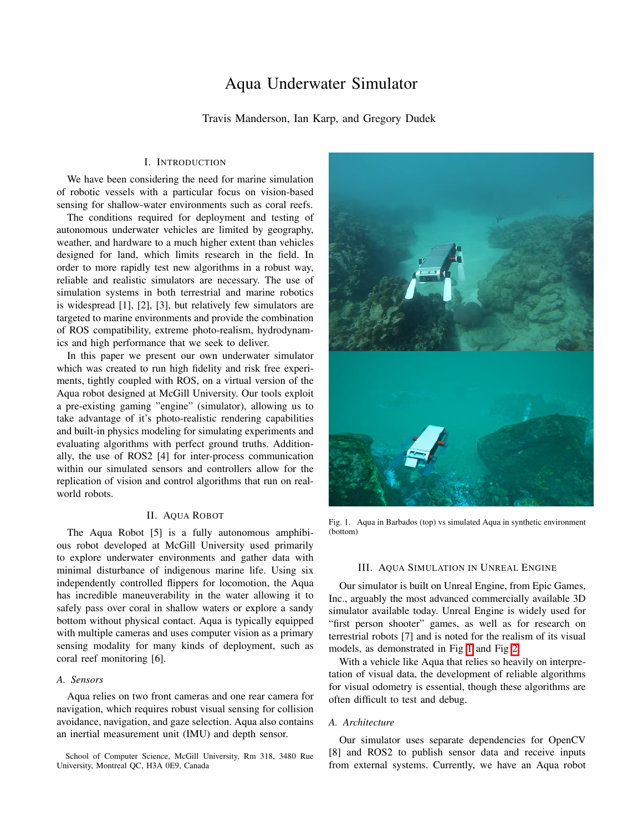# Aqua Underwater Simulator

Travis Manderson, Ian Karp, and Gregory Dudek

# I. INTRODUCTION

We have been considering the need for marine simulation of robotic vessels with a particular focus on vision-based sensing for shallow-water environments such as coral reefs.

The conditions required for deployment and testing of autonomous underwater vehicles are limited by geography, weather, and hardware to a much higher extent than vehicles designed for land, which limits research in the field. In order to more rapidly test new algorithms in a robust way, reliable and realistic simulators are necessary. The use of simulation systems in both terrestrial and marine robotics is widespread [1], [2], [3], but relatively few simulators are targeted to marine environments and provide the combination of ROS compatibility, extreme photo-realism, hydrodynamics and high performance that we seek to deliver.

In this paper we present our own underwater simulator which was created to run high fidelity and risk free experiments, tightly coupled with ROS, on a virtual version of the Aqua robot designed at McGill University. Our tools exploit a pre-existing gaming "engine" (simulator), allowing us to take advantage of it's photo-realistic rendering capabilities and built-in physics modeling for simulating experiments and evaluating algorithms with perfect ground truths. Additionally, the use of ROS2 [4] for inter-process communication within our simulated sensors and controllers allow for the replication of vision and control algorithms that run on realworld robots.

## II. AQUA ROBOT

The Aqua Robot [5] is a fully autonomous amphibious robot developed at McGill University used primarily to explore underwater environments and gather data with minimal disturbance of indigenous marine life. Using six independently controlled flippers for locomotion, the Aqua has incredible maneuverability in the water allowing it to safely pass over coral in shallow waters or explore a sandy bottom without physical contact. Aqua is typically equipped with multiple cameras and uses computer vision as a primary sensing modality for many kinds of deployment, such as coral reef monitoring [6].

# *A. Sensors*

Aqua relies on two front cameras and one rear camera for navigation, which requires robust visual sensing for collision avoidance, navigation, and gaze selection. Aqua also contains an inertial measurement unit (IMU) and depth sensor.

School of Computer Science, McGill University, Rm 318, 3480 Rue University, Montreal QC, H3A 0E9, Canada



Fig. 1. Aqua in Barbados (top) vs simulated Aqua in synthetic environment (bottom)

## <span id="page-0-0"></span>III. AQUA SIMULATION IN UNREAL ENGINE

Our simulator is built on Unreal Engine, from Epic Games, Inc., arguably the most advanced commercially available 3D simulator available today. Unreal Engine is widely used for "first person shooter" games, as well as for research on terrestrial robots [7] and is noted for the realism of its visual models, as demonstrated in Fig  $\overline{1}$  and Fig  $\overline{2}$ .

With a vehicle like Aqua that relies so heavily on interpretation of visual data, the development of reliable algorithms for visual odometry is essential, though these algorithms are often difficult to test and debug.

## *A. Architecture*

Our simulator uses separate dependencies for OpenCV [8] and ROS2 to publish sensor data and receive inputs from external systems. Currently, we have an Aqua robot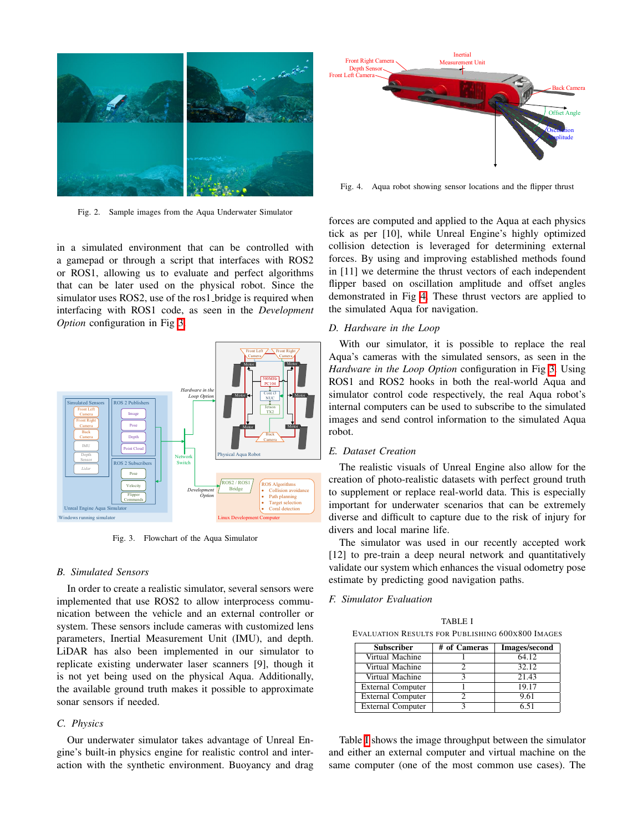

Fig. 2. Sample images from the Aqua Underwater Simulator

<span id="page-1-0"></span>in a simulated environment that can be controlled with a gamepad or through a script that interfaces with ROS2 or ROS1, allowing us to evaluate and perfect algorithms that can be later used on the physical robot. Since the simulator uses ROS2, use of the ros1 bridge is required when interfacing with ROS1 code, as seen in the *Development Option* configuration in Fig [3.](#page-1-1)



<span id="page-1-1"></span>Fig. 3. Flowchart of the Aqua Simulator

# *B. Simulated Sensors*

In order to create a realistic simulator, several sensors were implemented that use ROS2 to allow interprocess communication between the vehicle and an external controller or system. These sensors include cameras with customized lens parameters, Inertial Measurement Unit (IMU), and depth. LiDAR has also been implemented in our simulator to replicate existing underwater laser scanners [9], though it is not yet being used on the physical Aqua. Additionally, the available ground truth makes it possible to approximate sonar sensors if needed.

# *C. Physics*

Our underwater simulator takes advantage of Unreal Engine's built-in physics engine for realistic control and interaction with the synthetic environment. Buoyancy and drag



<span id="page-1-2"></span>Fig. 4. Aqua robot showing sensor locations and the flipper thrust

forces are computed and applied to the Aqua at each physics tick as per [10], while Unreal Engine's highly optimized collision detection is leveraged for determining external forces. By using and improving established methods found in [11] we determine the thrust vectors of each independent flipper based on oscillation amplitude and offset angles demonstrated in Fig  $\frac{1}{4}$ . These thrust vectors are applied to the simulated Aqua for navigation.

# *D. Hardware in the Loop*

With our simulator, it is possible to replace the real Aqua's cameras with the simulated sensors, as seen in the *Hardware in the Loop Option* configuration in Fig [3.](#page-1-1) Using ROS1 and ROS2 hooks in both the real-world Aqua and simulator control code respectively, the real Aqua robot's internal computers can be used to subscribe to the simulated images and send control information to the simulated Aqua robot.

## *E. Dataset Creation*

The realistic visuals of Unreal Engine also allow for the creation of photo-realistic datasets with perfect ground truth to supplement or replace real-world data. This is especially important for underwater scenarios that can be extremely diverse and difficult to capture due to the risk of injury for divers and local marine life.

The simulator was used in our recently accepted work [12] to pre-train a deep neural network and quantitatively validate our system which enhances the visual odometry pose estimate by predicting good navigation paths.

## *F. Simulator Evaluation*

<span id="page-1-3"></span>TABLE I EVALUATION RESULTS FOR PUBLISHING 600X800 IMAGES

| <b>Subscriber</b>        | # of Cameras | <b>Images/second</b> |
|--------------------------|--------------|----------------------|
| Virtual Machine          |              | 64.12                |
| Virtual Machine          |              | 32.12                |
| Virtual Machine          |              | 21.43                |
| <b>External Computer</b> |              | 19.17                |
| <b>External Computer</b> |              | 9.61                 |
| <b>External Computer</b> |              | 6.51                 |

Table  $\overline{I}$  shows the image throughput between the simulator and either an external computer and virtual machine on the same computer (one of the most common use cases). The